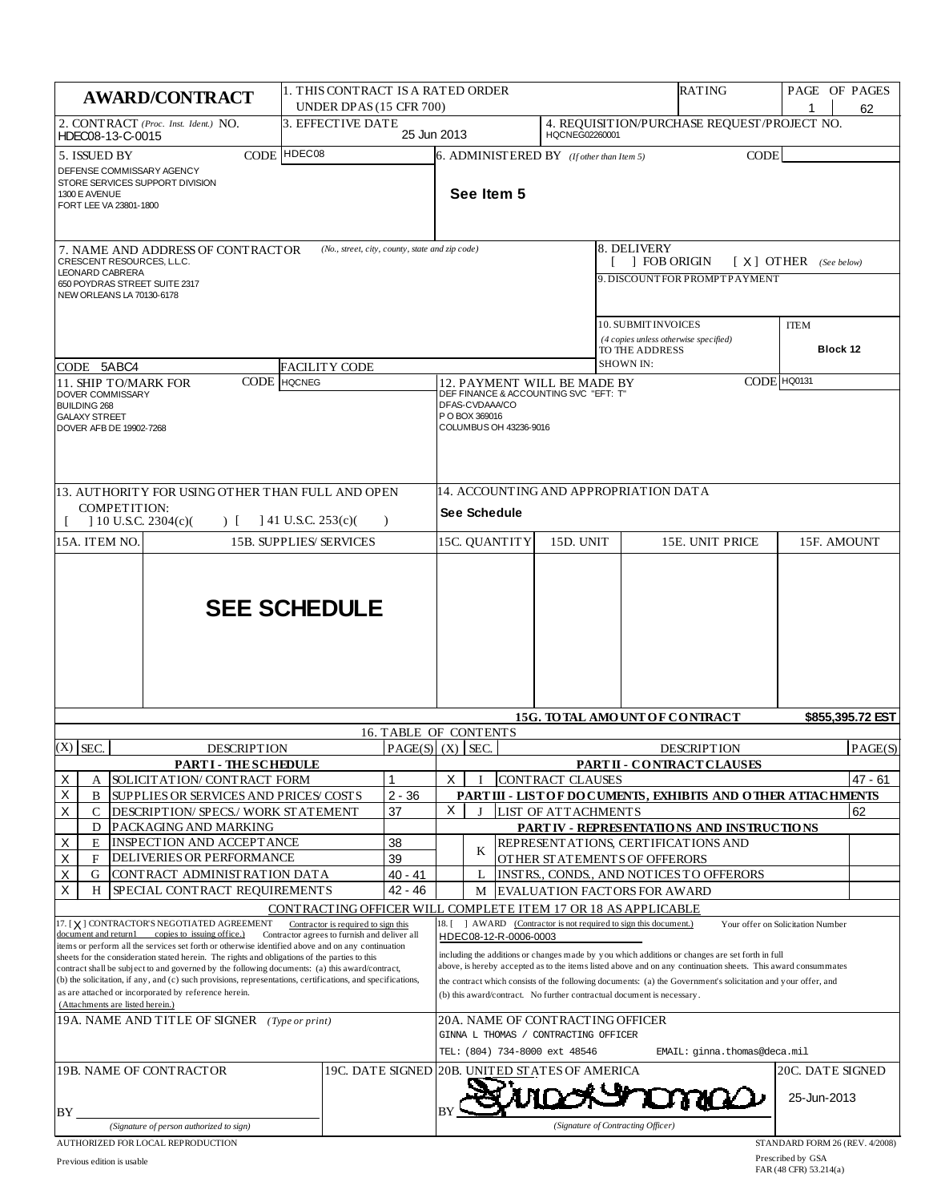| <b>AWARD/CONTRACT</b>                                                                                                                                                                                                                                                                                                                                                                                                                                                                                           | 1. THIS CONTRACT IS A RATED ORDER<br>UNDER DPAS (15 CFR 700)                        |                       | <b>RATING</b>                                                                                                                                                                                                                                                                                                                                                                                               |                                                           |                         | PAGE OF PAGES                                                     | 62                                                           |                                   |                  |
|-----------------------------------------------------------------------------------------------------------------------------------------------------------------------------------------------------------------------------------------------------------------------------------------------------------------------------------------------------------------------------------------------------------------------------------------------------------------------------------------------------------------|-------------------------------------------------------------------------------------|-----------------------|-------------------------------------------------------------------------------------------------------------------------------------------------------------------------------------------------------------------------------------------------------------------------------------------------------------------------------------------------------------------------------------------------------------|-----------------------------------------------------------|-------------------------|-------------------------------------------------------------------|--------------------------------------------------------------|-----------------------------------|------------------|
| 2. CONTRACT (Proc. Inst. Ident.) NO.<br>HDEC08-13-C-0015                                                                                                                                                                                                                                                                                                                                                                                                                                                        | 3. EFFECTIVE DATE                                                                   | 25 Jun 2013           |                                                                                                                                                                                                                                                                                                                                                                                                             |                                                           | HQCNEG02260001          |                                                                   | 4. REQUISITION/PURCHASE REQUEST/PROJECT NO.                  |                                   |                  |
| 5. ISSUED BY<br><b>CODE</b><br>DEFENSE COMMISSARY AGENCY<br>STORE SERVICES SUPPORT DIVISION<br>1300 E AVENUE<br>FORT LEE VA 23801-1800                                                                                                                                                                                                                                                                                                                                                                          | HDEC08                                                                              |                       |                                                                                                                                                                                                                                                                                                                                                                                                             | $6.$ ADMINISTERED BY (If other than Item 5)<br>See Item 5 |                         |                                                                   | <b>CODE</b>                                                  |                                   |                  |
| 7. NAME AND ADDRESS OF CONTRACTOR<br>CRESCENT RESOURCES, L.L.C.<br><b>LEONARD CABRERA</b>                                                                                                                                                                                                                                                                                                                                                                                                                       | (No., street, city, county, state and zip code)                                     |                       |                                                                                                                                                                                                                                                                                                                                                                                                             |                                                           |                         | 8. DELIVERY                                                       | <b>FOB ORIGIN</b>                                            | $[X]$ OTHER (See below)           |                  |
| 650 POYDRAS STREET SUITE 2317<br>NEW ORLEANS LA 70130-6178                                                                                                                                                                                                                                                                                                                                                                                                                                                      |                                                                                     |                       |                                                                                                                                                                                                                                                                                                                                                                                                             |                                                           |                         |                                                                   | 9. DISCOUNT FOR PROMPT PAYMENT                               |                                   |                  |
| CODE 5ABC4                                                                                                                                                                                                                                                                                                                                                                                                                                                                                                      | <b>FACILITY CODE</b>                                                                |                       |                                                                                                                                                                                                                                                                                                                                                                                                             |                                                           |                         | 10. SUBMIT INVOICES<br>TO THE ADDRESS<br><b>SHOWN IN:</b>         | (4 copies unless otherwise specified)                        | <b>ITEM</b><br>Block 12           |                  |
| CODE<br>11. SHIP TO/MARK FOR                                                                                                                                                                                                                                                                                                                                                                                                                                                                                    | <b>HQCNEG</b>                                                                       |                       |                                                                                                                                                                                                                                                                                                                                                                                                             |                                                           |                         |                                                                   |                                                              | CODE HQ0131                       |                  |
| DOVER COMMISSARY<br><b>BUILDING 268</b><br><b>GALAXY STREET</b><br>DOVER AFB DE 19902-7268                                                                                                                                                                                                                                                                                                                                                                                                                      |                                                                                     |                       | 12. PAYMENT WILL BE MADE BY<br>DEF FINANCE & ACCOUNTING SVC "EFT: T"<br>DFAS-CVDAAA/CO<br>P O BOX 369016<br>COLUMBUS OH 43236-9016                                                                                                                                                                                                                                                                          |                                                           |                         |                                                                   |                                                              |                                   |                  |
| 13. AUTHORITY FOR USING OTHER THAN FULL AND OPEN<br>COMPETITION:<br>] 10 U.S.C. 2304(c)(<br>$\Gamma$                                                                                                                                                                                                                                                                                                                                                                                                            | $141$ U.S.C. 253(c)(                                                                | $\lambda$             |                                                                                                                                                                                                                                                                                                                                                                                                             | See Schedule                                              |                         | 14. ACCOUNTING AND APPROPRIATION DATA                             |                                                              |                                   |                  |
| 15A. ITEM NO.                                                                                                                                                                                                                                                                                                                                                                                                                                                                                                   | <b>15B. SUPPLIES/SERVICES</b>                                                       |                       |                                                                                                                                                                                                                                                                                                                                                                                                             | 15C. QUANTITY                                             | 15D. UNIT               |                                                                   | 15E. UNIT PRICE                                              | 15F. AMOUNT                       |                  |
|                                                                                                                                                                                                                                                                                                                                                                                                                                                                                                                 | <b>SEE SCHEDULE</b>                                                                 |                       |                                                                                                                                                                                                                                                                                                                                                                                                             |                                                           |                         |                                                                   |                                                              |                                   |                  |
|                                                                                                                                                                                                                                                                                                                                                                                                                                                                                                                 |                                                                                     | 16. TABLE OF CONTENTS |                                                                                                                                                                                                                                                                                                                                                                                                             |                                                           |                         |                                                                   | <b>15G. TO TAL AMOUNT OF CONTRACT</b>                        |                                   | \$855,395.72 EST |
| $(X)$ SEC.<br><b>DESCRIPTION</b>                                                                                                                                                                                                                                                                                                                                                                                                                                                                                |                                                                                     |                       | $PAGE(S)$ (X) SEC.<br><b>DESCRIPTION</b><br>PARTII - CONTRACT CLAUSES                                                                                                                                                                                                                                                                                                                                       |                                                           |                         |                                                                   | PAGE(S)                                                      |                                   |                  |
| <b>PARTI - THESCHEDULE</b><br>Х<br>SOLICIT AT ION/ CONTRACT FORM                                                                                                                                                                                                                                                                                                                                                                                                                                                |                                                                                     |                       | X                                                                                                                                                                                                                                                                                                                                                                                                           |                                                           | <b>CONTRACT CLAUSES</b> |                                                                   |                                                              |                                   | 47 - 61          |
| Χ<br>SUPPLIES OR SERVICES AND PRICES COSTS<br>B                                                                                                                                                                                                                                                                                                                                                                                                                                                                 |                                                                                     | $2 - 36$              |                                                                                                                                                                                                                                                                                                                                                                                                             |                                                           |                         |                                                                   | PART III - LIST OF DOCUMENTS, EXHIBITS AND OTHER ATTACHMENTS |                                   |                  |
| X<br>C<br>DESCRIPTION/ SPECS./ WORK STATEMENT<br>D<br>PACKAGING AND MARKING                                                                                                                                                                                                                                                                                                                                                                                                                                     |                                                                                     | 37                    | X                                                                                                                                                                                                                                                                                                                                                                                                           | J                                                         | LIST OF ATTACHMENTS     |                                                                   | PART IV - REPRESENTATIONS AND INSTRUCTIONS                   |                                   | 62               |
| Χ<br>INSPECTION AND ACCEPTANCE<br>E                                                                                                                                                                                                                                                                                                                                                                                                                                                                             |                                                                                     | 38                    |                                                                                                                                                                                                                                                                                                                                                                                                             | K                                                         |                         |                                                                   | REPRESENT ATIONS, CERTIFICATIONS AND                         |                                   |                  |
| Χ<br>DELIVERIES OR PERFORMANCE<br>F<br>Χ<br>G<br>CONTRACT ADMINISTRATION DATA                                                                                                                                                                                                                                                                                                                                                                                                                                   |                                                                                     | 39<br>40 - 41         |                                                                                                                                                                                                                                                                                                                                                                                                             | L                                                         |                         | OTHER STATEMENTS OF OFFERORS                                      | INSTRS., CONDS., AND NOTICES TO OFFERORS                     |                                   |                  |
| X<br>SPECIAL CONTRACT REQUIREMENTS<br>H                                                                                                                                                                                                                                                                                                                                                                                                                                                                         |                                                                                     | 42 - 46               |                                                                                                                                                                                                                                                                                                                                                                                                             | M                                                         |                         | <b>EVALUATION FACTORS FOR AWARD</b>                               |                                                              |                                   |                  |
|                                                                                                                                                                                                                                                                                                                                                                                                                                                                                                                 | CONTRACTING OFFICER WILL COMPLETE ITEM 17 OR 18 AS APPLICABLE                       |                       |                                                                                                                                                                                                                                                                                                                                                                                                             |                                                           |                         |                                                                   |                                                              |                                   |                  |
| 17. [X] CONTRACTOR'S NEGOTIATED AGREEMENT<br>copies to issuing office.)<br>document and return1                                                                                                                                                                                                                                                                                                                                                                                                                 | Contractor is required to sign this<br>Contractor agrees to furnish and deliver all |                       |                                                                                                                                                                                                                                                                                                                                                                                                             | HDEC08-12-R-0006-0003                                     |                         | 18. [ ] AWARD (Contractor is not required to sign this document.) |                                                              | Your offer on Solicitation Number |                  |
| items or perform all the services set forth or otherwise identified above and on any continuation<br>sheets for the consideration stated herein. The rights and obligations of the parties to this<br>contract shall be subject to and governed by the following documents: (a) this award/contract,<br>(b) the solicitation, if any, and (c) such provisions, representations, certifications, and specifications,<br>as are attached or incorporated by reference herein.<br>(Attachments are listed herein.) |                                                                                     |                       | including the additions or changes made by you which additions or changes are set forth in full<br>above, is hereby accepted as to the items listed above and on any continuation sheets. This award consummates<br>the contract which consists of the following documents: (a) the Government's solicitation and your offer, and<br>(b) this award/contract. No further contractual document is necessary. |                                                           |                         |                                                                   |                                                              |                                   |                  |
| 19A. NAME AND TITLE OF SIGNER (Type or print)                                                                                                                                                                                                                                                                                                                                                                                                                                                                   |                                                                                     |                       | 20A. NAME OF CONTRACTING OFFICER<br>GINNA L THOMAS / CONTRACTING OFFICER                                                                                                                                                                                                                                                                                                                                    |                                                           |                         |                                                                   |                                                              |                                   |                  |
|                                                                                                                                                                                                                                                                                                                                                                                                                                                                                                                 |                                                                                     |                       | TEL: (804) 734-8000 ext 48546<br>EMAIL: ginna.thomas@deca.mil                                                                                                                                                                                                                                                                                                                                               |                                                           |                         |                                                                   |                                                              |                                   |                  |
| 19B. NAME OF CONTRACTOR                                                                                                                                                                                                                                                                                                                                                                                                                                                                                         |                                                                                     |                       |                                                                                                                                                                                                                                                                                                                                                                                                             | 19C. DATE SIGNED 20B. UNITED STATES OF AMERICA            |                         |                                                                   |                                                              | 20C. DATE SIGNED<br>25-Jun-2013   |                  |
| BY<br>(Signature of person authorized to sign)                                                                                                                                                                                                                                                                                                                                                                                                                                                                  |                                                                                     |                       |                                                                                                                                                                                                                                                                                                                                                                                                             |                                                           |                         | (Signature of Contracting Officer)                                |                                                              |                                   |                  |
| AUTHORIZED FOR LOCAL REPRODUCTION                                                                                                                                                                                                                                                                                                                                                                                                                                                                               |                                                                                     |                       |                                                                                                                                                                                                                                                                                                                                                                                                             |                                                           |                         |                                                                   |                                                              | STANDARD FORM 26 (REV. 4/2008)    |                  |

Prescribed by GSA FAR (48 CFR) 53.214(a)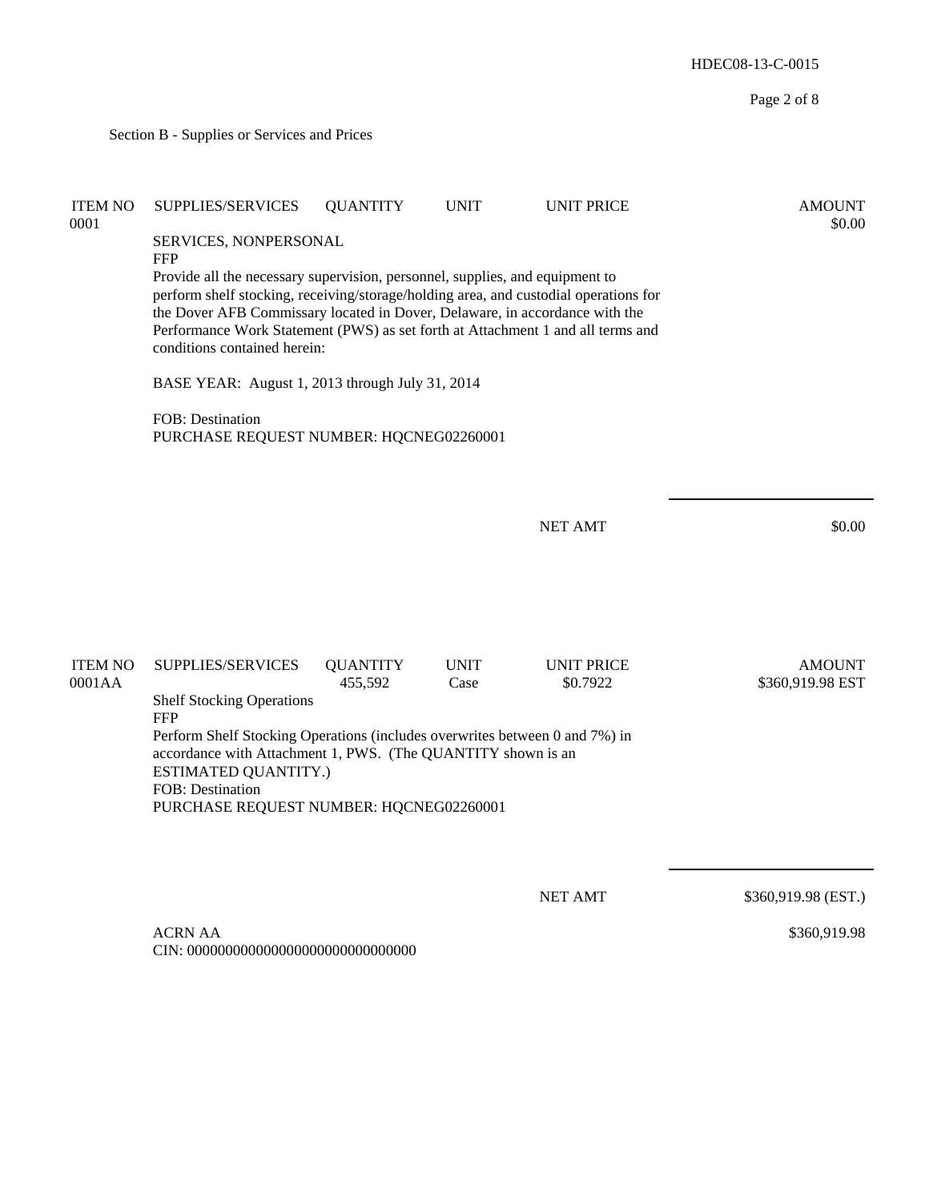HDEC08-13-C-0015 Page 2 of 8 Section B - Supplies or Services and Prices ITEM NO SUPPLIES/SERVICES QUANTITY UNIT UNIT PRICE AMOUNT  $0.0001$  \$0.00 SERVICES, NONPERSONAL FFP Provide all the necessary supervision, personnel, supplies, and equipment to perform shelf stocking, receiving/storage/holding area, and custodial operations for the Dover AFB Commissary located in Dover, Delaware, in accordance with the Performance Work Statement (PWS) as set forth at Attachment 1 and all terms and conditions contained herein: BASE YEAR: August 1, 2013 through July 31, 2014 FOB: Destination PURCHASE REQUEST NUMBER: HQCNEG02260001 NET AMT \$0.00 ITEM NO SUPPLIES/SERVICES QUANTITY UNIT UNIT PRICE AMOUNT 0001AA 455,592 Case \$0.7922 \$360,919.98 EST Shelf Stocking Operations FFP Perform Shelf Stocking Operations (includes overwrites between 0 and 7%) in accordance with Attachment 1, PWS. (The QUANTITY shown is an ESTIMATED QUANTITY.) FOB: Destination PURCHASE REQUEST NUMBER: HQCNEG02260001 NET AMT \$360,919.98 (EST.) ACRN AA CIN: 000000000000000000000000000000 \$360,919.98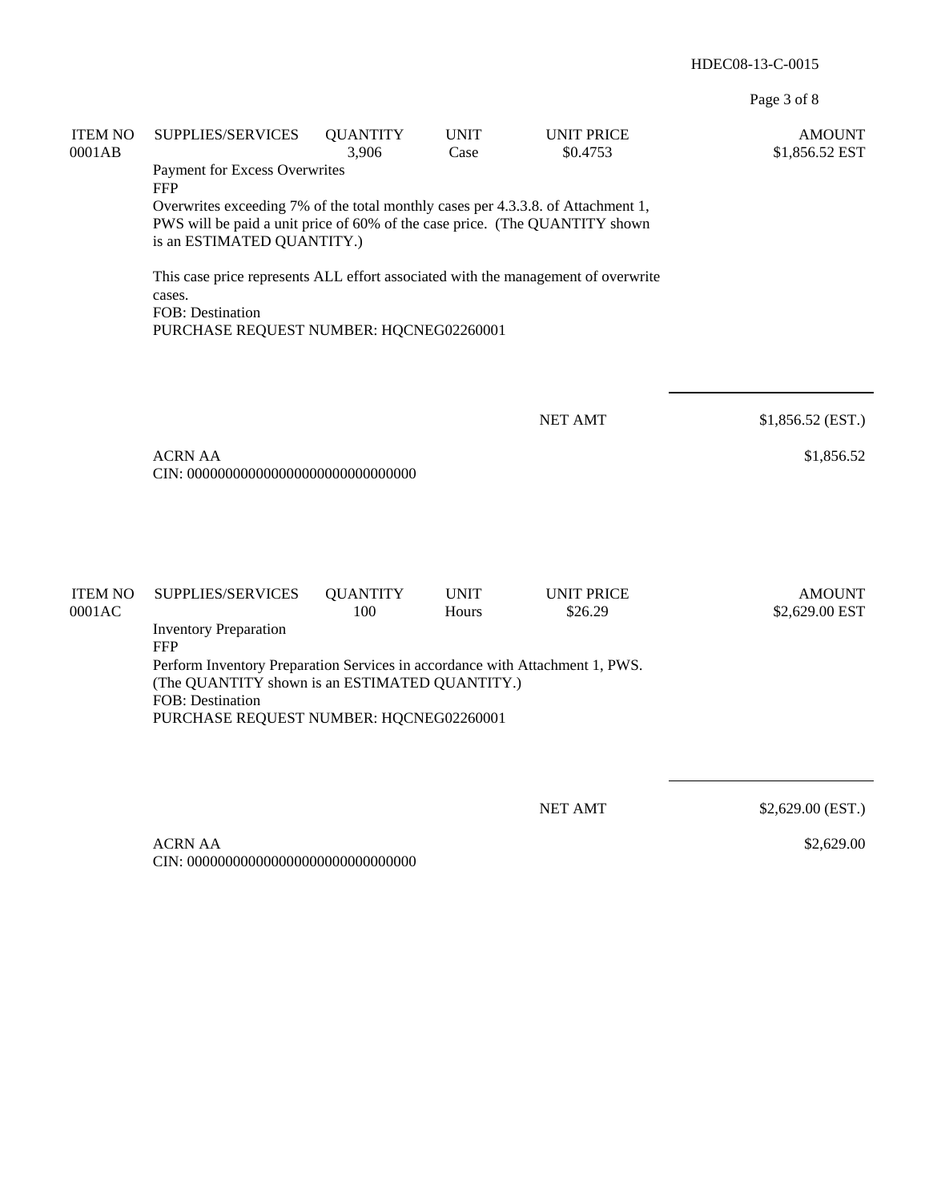Page 3 of 8

| <b>ITEM NO</b><br>0001AB | SUPPLIES/SERVICES<br>Payment for Excess Overwrites<br><b>FFP</b><br>Overwrites exceeding 7% of the total monthly cases per 4.3.3.8. of Attachment 1,<br>PWS will be paid a unit price of 60% of the case price. (The QUANTITY shown<br>is an ESTIMATED QUANTITY.)<br>This case price represents ALL effort associated with the management of overwrite<br>cases.<br>FOB: Destination<br>PURCHASE REQUEST NUMBER: HQCNEG02260001 | <b>QUANTITY</b><br>3,906 | <b>UNIT</b><br>Case  | <b>UNIT PRICE</b><br>\$0.4753 | <b>AMOUNT</b><br>\$1,856.52 EST |
|--------------------------|---------------------------------------------------------------------------------------------------------------------------------------------------------------------------------------------------------------------------------------------------------------------------------------------------------------------------------------------------------------------------------------------------------------------------------|--------------------------|----------------------|-------------------------------|---------------------------------|
|                          | <b>ACRN AA</b>                                                                                                                                                                                                                                                                                                                                                                                                                  |                          |                      | <b>NET AMT</b>                | \$1,856.52 (EST.)<br>\$1,856.52 |
| <b>ITEM NO</b><br>0001AC | SUPPLIES/SERVICES<br><b>Inventory Preparation</b><br><b>FFP</b><br>Perform Inventory Preparation Services in accordance with Attachment 1, PWS.<br>(The QUANTITY shown is an ESTIMATED QUANTITY.)<br>FOB: Destination<br>PURCHASE REQUEST NUMBER: HQCNEG02260001                                                                                                                                                                | <b>QUANTITY</b><br>100   | <b>UNIT</b><br>Hours | <b>UNIT PRICE</b><br>\$26.29  | <b>AMOUNT</b><br>\$2,629.00 EST |
|                          | <b>ACRN AA</b>                                                                                                                                                                                                                                                                                                                                                                                                                  |                          |                      | <b>NET AMT</b>                | \$2,629.00 (EST.)<br>\$2,629.00 |

CIN: 000000000000000000000000000000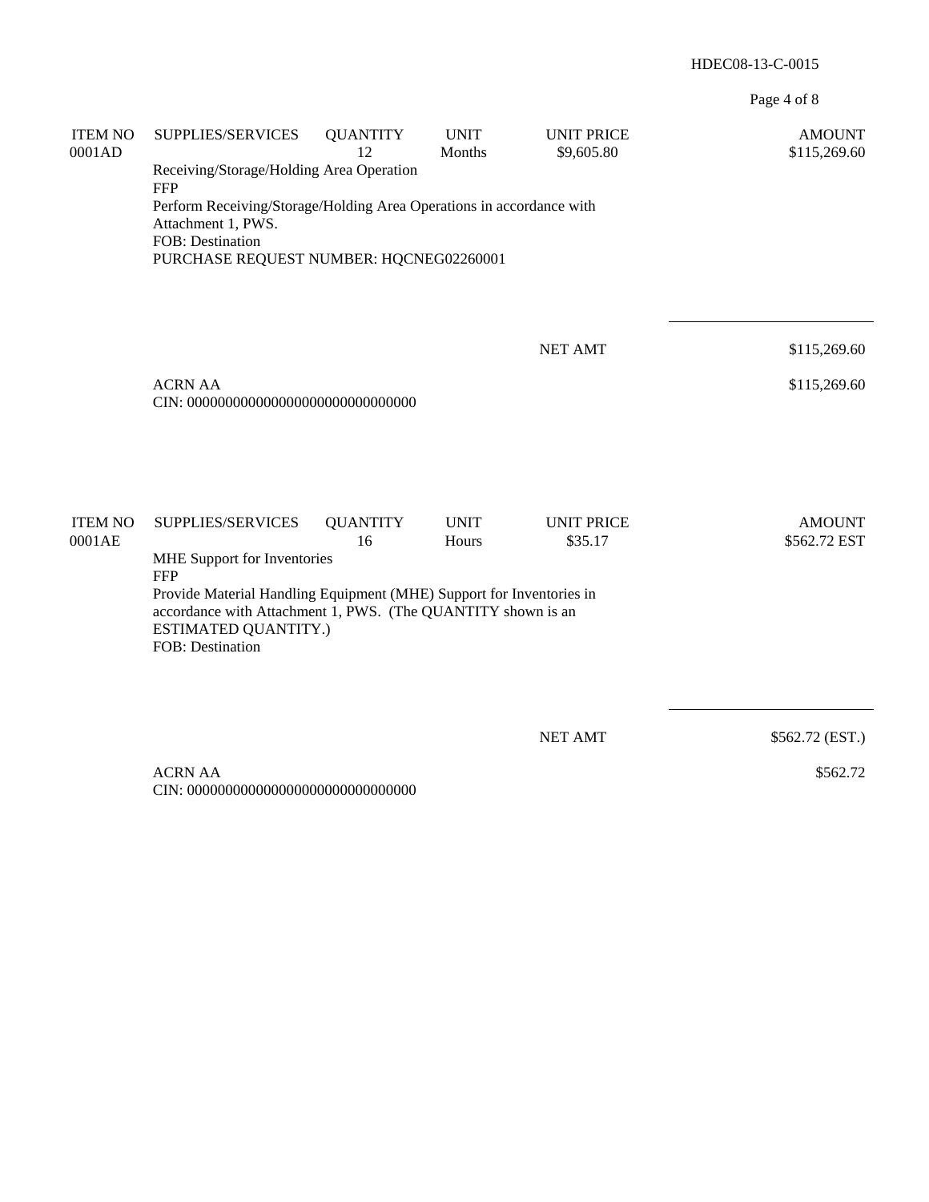Page 4 of 8

| <b>ITEM NO</b><br>0001AD | SUPPLIES/SERVICES                                                                                                                                            | <b>QUANTITY</b><br>12 | <b>UNIT</b><br>Months | <b>UNIT PRICE</b><br>\$9,605.80 | <b>AMOUNT</b><br>\$115,269.60 |
|--------------------------|--------------------------------------------------------------------------------------------------------------------------------------------------------------|-----------------------|-----------------------|---------------------------------|-------------------------------|
|                          | Receiving/Storage/Holding Area Operation<br><b>FFP</b>                                                                                                       |                       |                       |                                 |                               |
|                          | Perform Receiving/Storage/Holding Area Operations in accordance with<br>Attachment 1, PWS.                                                                   |                       |                       |                                 |                               |
|                          | FOB: Destination<br>PURCHASE REQUEST NUMBER: HQCNEG02260001                                                                                                  |                       |                       |                                 |                               |
|                          |                                                                                                                                                              |                       |                       |                                 |                               |
|                          |                                                                                                                                                              |                       |                       | <b>NET AMT</b>                  | \$115,269.60                  |
|                          | <b>ACRN AA</b>                                                                                                                                               |                       |                       |                                 | \$115,269.60                  |
|                          |                                                                                                                                                              |                       |                       |                                 |                               |
|                          |                                                                                                                                                              |                       |                       |                                 |                               |
|                          |                                                                                                                                                              |                       |                       |                                 |                               |
| <b>ITEM NO</b><br>0001AE | SUPPLIES/SERVICES                                                                                                                                            | <b>QUANTITY</b><br>16 | <b>UNIT</b><br>Hours  | <b>UNIT PRICE</b><br>\$35.17    | <b>AMOUNT</b><br>\$562.72 EST |
|                          | MHE Support for Inventories<br><b>FFP</b>                                                                                                                    |                       |                       |                                 |                               |
|                          | Provide Material Handling Equipment (MHE) Support for Inventories in<br>accordance with Attachment 1, PWS. (The QUANTITY shown is an<br>ESTIMATED QUANTITY.) |                       |                       |                                 |                               |
|                          | FOB: Destination                                                                                                                                             |                       |                       |                                 |                               |
|                          |                                                                                                                                                              |                       |                       |                                 |                               |
|                          |                                                                                                                                                              |                       |                       | <b>NET AMT</b>                  | \$562.72 (EST.)               |
|                          | <b>ACRN AA</b>                                                                                                                                               |                       |                       |                                 | \$562.72                      |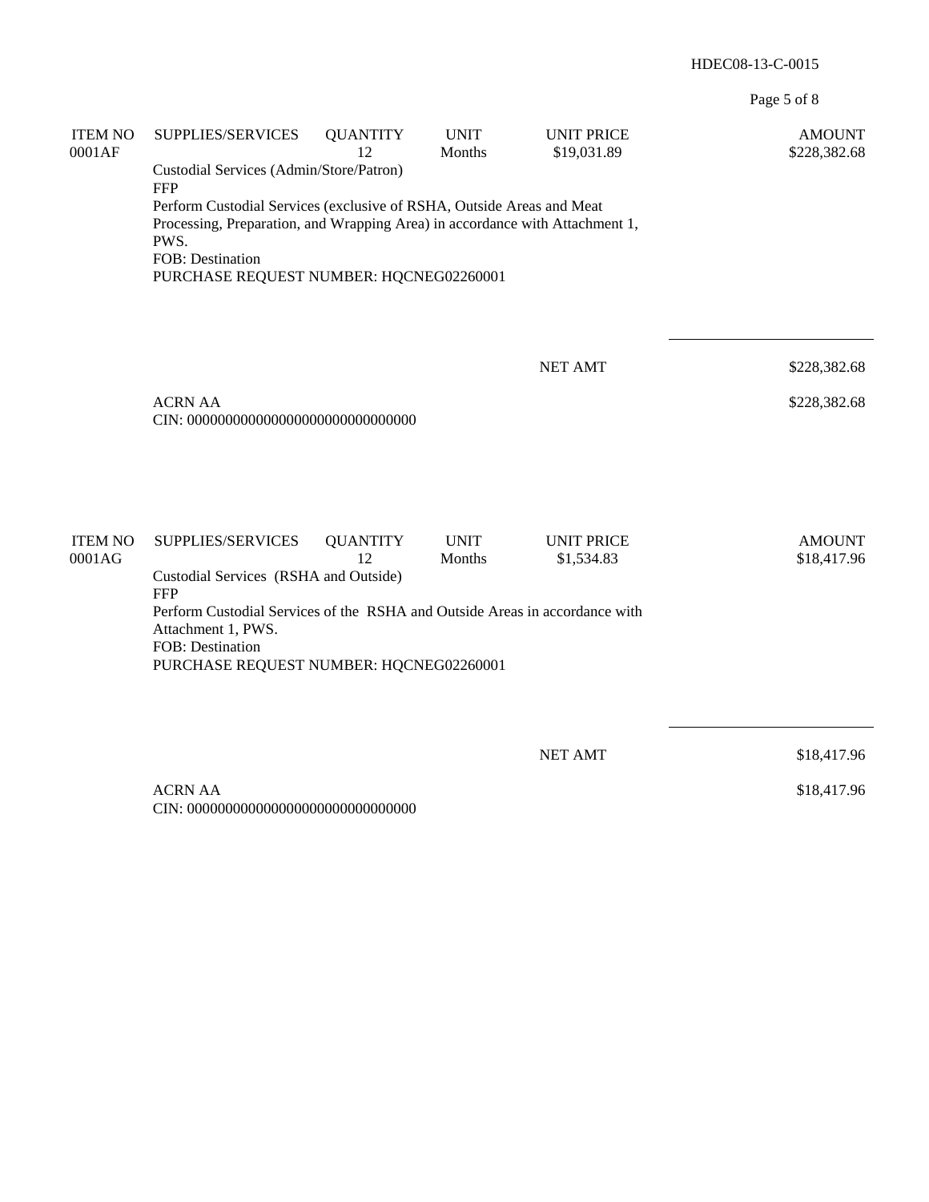Page 5 of 8

| <b>ITEM NO</b><br>0001AF | SUPPLIES/SERVICES                                                                                                                                                                                                            | <b>QUANTITY</b><br>12 | <b>UNIT</b><br>Months | <b>UNIT PRICE</b><br>\$19,031.89 | <b>AMOUNT</b><br>\$228,382.68 |  |  |
|--------------------------|------------------------------------------------------------------------------------------------------------------------------------------------------------------------------------------------------------------------------|-----------------------|-----------------------|----------------------------------|-------------------------------|--|--|
|                          | Custodial Services (Admin/Store/Patron)<br><b>FFP</b>                                                                                                                                                                        |                       |                       |                                  |                               |  |  |
|                          | Perform Custodial Services (exclusive of RSHA, Outside Areas and Meat<br>Processing, Preparation, and Wrapping Area) in accordance with Attachment 1,<br>PWS.<br>FOB: Destination<br>PURCHASE REQUEST NUMBER: HQCNEG02260001 |                       |                       |                                  |                               |  |  |
|                          |                                                                                                                                                                                                                              |                       |                       | <b>NET AMT</b>                   | \$228,382.68                  |  |  |
|                          | <b>ACRN AA</b>                                                                                                                                                                                                               |                       |                       |                                  | \$228,382.68                  |  |  |
| <b>ITEM NO</b><br>0001AG | SUPPLIES/SERVICES                                                                                                                                                                                                            | <b>QUANTITY</b><br>12 | <b>UNIT</b><br>Months | <b>UNIT PRICE</b><br>\$1,534.83  | <b>AMOUNT</b><br>\$18,417.96  |  |  |
|                          | Custodial Services (RSHA and Outside)<br><b>FFP</b>                                                                                                                                                                          |                       |                       |                                  |                               |  |  |
|                          | Perform Custodial Services of the RSHA and Outside Areas in accordance with<br>Attachment 1, PWS.<br>FOB: Destination<br>PURCHASE REQUEST NUMBER: HQCNEG02260001                                                             |                       |                       |                                  |                               |  |  |
|                          |                                                                                                                                                                                                                              |                       |                       |                                  |                               |  |  |
|                          |                                                                                                                                                                                                                              |                       |                       | <b>NET AMT</b>                   | \$18,417.96                   |  |  |
|                          | <b>ACRN AA</b>                                                                                                                                                                                                               |                       |                       |                                  | \$18,417.96                   |  |  |

CIN: 000000000000000000000000000000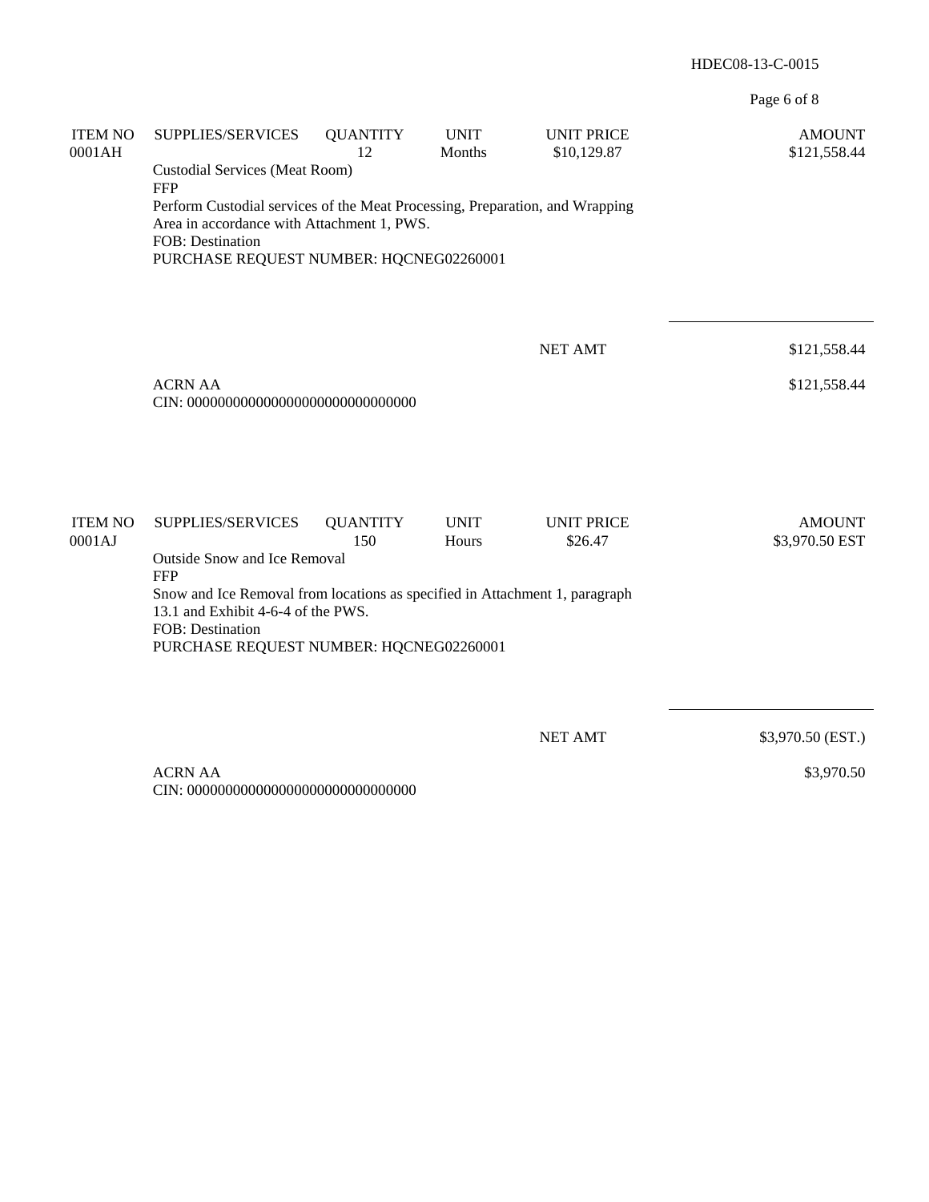Page 6 of 8

| <b>ITEM NO</b><br>0001AH | SUPPLIES/SERVICES<br><b>Custodial Services (Meat Room)</b>                                                                                                                                                                     | <b>QUANTITY</b><br>12  | <b>UNIT</b><br>Months | <b>UNIT PRICE</b><br>\$10,129.87 | <b>AMOUNT</b><br>\$121,558.44   |
|--------------------------|--------------------------------------------------------------------------------------------------------------------------------------------------------------------------------------------------------------------------------|------------------------|-----------------------|----------------------------------|---------------------------------|
|                          | <b>FFP</b><br>Perform Custodial services of the Meat Processing, Preparation, and Wrapping<br>Area in accordance with Attachment 1, PWS.<br>FOB: Destination<br>PURCHASE REQUEST NUMBER: HQCNEG02260001                        |                        |                       |                                  |                                 |
|                          |                                                                                                                                                                                                                                |                        |                       | <b>NET AMT</b>                   | \$121,558.44                    |
|                          | <b>ACRN AA</b>                                                                                                                                                                                                                 |                        |                       |                                  | \$121,558.44                    |
|                          |                                                                                                                                                                                                                                |                        |                       |                                  |                                 |
| <b>ITEM NO</b><br>0001AJ | SUPPLIES/SERVICES                                                                                                                                                                                                              | <b>QUANTITY</b><br>150 | <b>UNIT</b><br>Hours  | <b>UNIT PRICE</b><br>\$26.47     | <b>AMOUNT</b><br>\$3,970.50 EST |
|                          | Outside Snow and Ice Removal<br><b>FFP</b><br>Snow and Ice Removal from locations as specified in Attachment 1, paragraph<br>13.1 and Exhibit 4-6-4 of the PWS.<br>FOB: Destination<br>PURCHASE REQUEST NUMBER: HQCNEG02260001 |                        |                       |                                  |                                 |
|                          |                                                                                                                                                                                                                                |                        |                       |                                  |                                 |
|                          |                                                                                                                                                                                                                                |                        |                       | <b>NET AMT</b>                   | \$3,970.50 (EST.)               |
|                          | <b>ACRN AA</b>                                                                                                                                                                                                                 |                        |                       |                                  | \$3,970.50                      |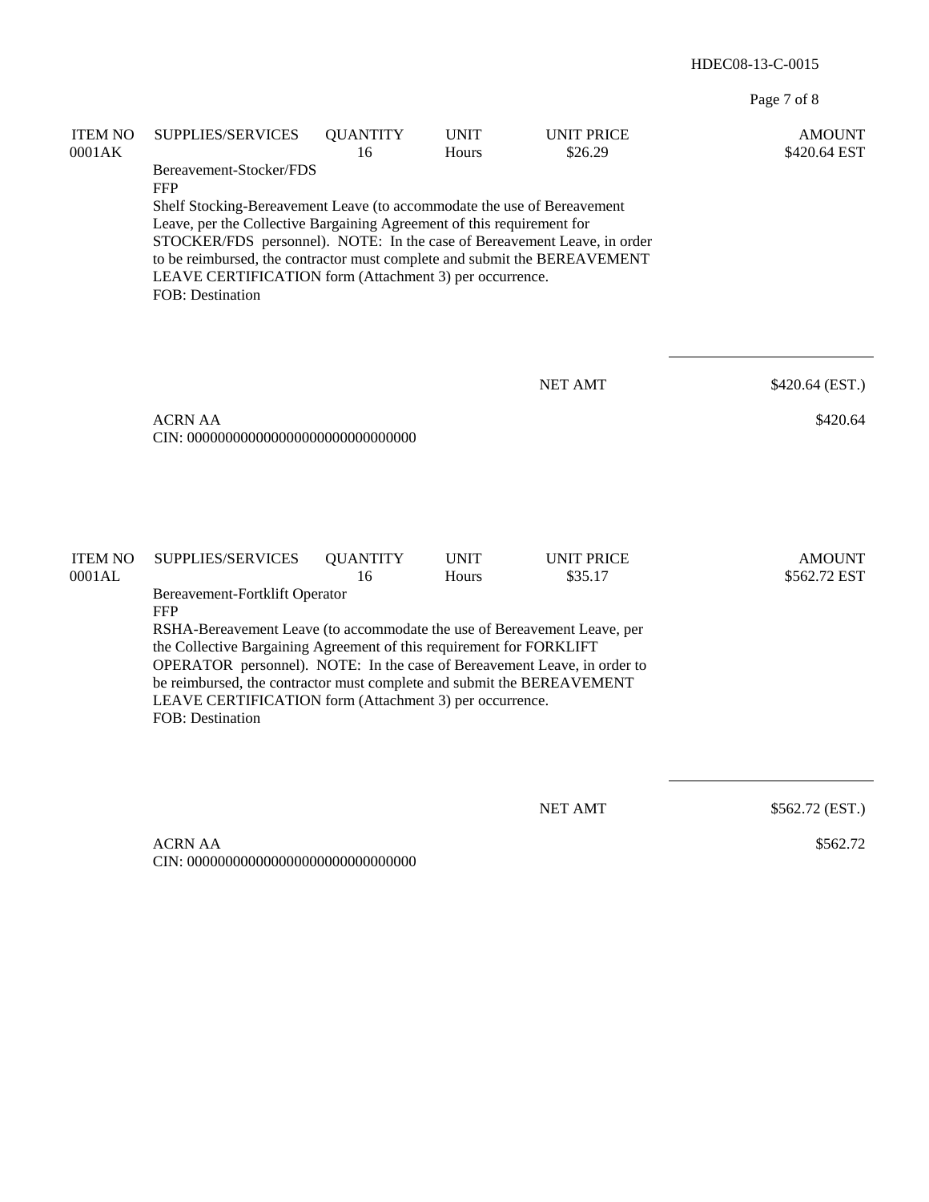Page 7 of 8

| <b>ITEM NO</b><br>0001AK | SUPPLIES/SERVICES<br>Bereavement-Stocker/FDS<br><b>FFP</b>                                                                                                                                                                                                                                                                                                                                | <b>QUANTITY</b><br>16 | <b>UNIT</b><br>Hours | <b>UNIT PRICE</b><br>\$26.29 | <b>AMOUNT</b><br>\$420.64 EST |  |  |
|--------------------------|-------------------------------------------------------------------------------------------------------------------------------------------------------------------------------------------------------------------------------------------------------------------------------------------------------------------------------------------------------------------------------------------|-----------------------|----------------------|------------------------------|-------------------------------|--|--|
|                          | Shelf Stocking-Bereavement Leave (to accommodate the use of Bereavement<br>Leave, per the Collective Bargaining Agreement of this requirement for<br>STOCKER/FDS personnel). NOTE: In the case of Bereavement Leave, in order<br>to be reimbursed, the contractor must complete and submit the BEREAVEMENT<br>LEAVE CERTIFICATION form (Attachment 3) per occurrence.<br>FOB: Destination |                       |                      |                              |                               |  |  |
|                          |                                                                                                                                                                                                                                                                                                                                                                                           |                       |                      | <b>NET AMT</b>               | \$420.64 (EST.)               |  |  |
|                          | <b>ACRN AA</b>                                                                                                                                                                                                                                                                                                                                                                            |                       |                      |                              | \$420.64                      |  |  |
| <b>ITEM NO</b><br>0001AL | SUPPLIES/SERVICES<br>Bereavement-Fortklift Operator<br><b>FFP</b>                                                                                                                                                                                                                                                                                                                         | <b>QUANTITY</b><br>16 | <b>UNIT</b><br>Hours | <b>UNIT PRICE</b><br>\$35.17 | <b>AMOUNT</b><br>\$562.72 EST |  |  |
|                          | RSHA-Bereavement Leave (to accommodate the use of Bereavement Leave, per<br>the Collective Bargaining Agreement of this requirement for FORKLIFT<br>OPERATOR personnel). NOTE: In the case of Bereavement Leave, in order to<br>be reimbursed, the contractor must complete and submit the BEREAVEMENT<br>LEAVE CERTIFICATION form (Attachment 3) per occurrence.<br>FOB: Destination     |                       |                      |                              |                               |  |  |
|                          |                                                                                                                                                                                                                                                                                                                                                                                           |                       |                      |                              |                               |  |  |

NET AMT \$562.72 (EST.)

 ACRN AA CIN: 000000000000000000000000000000 \$562.72